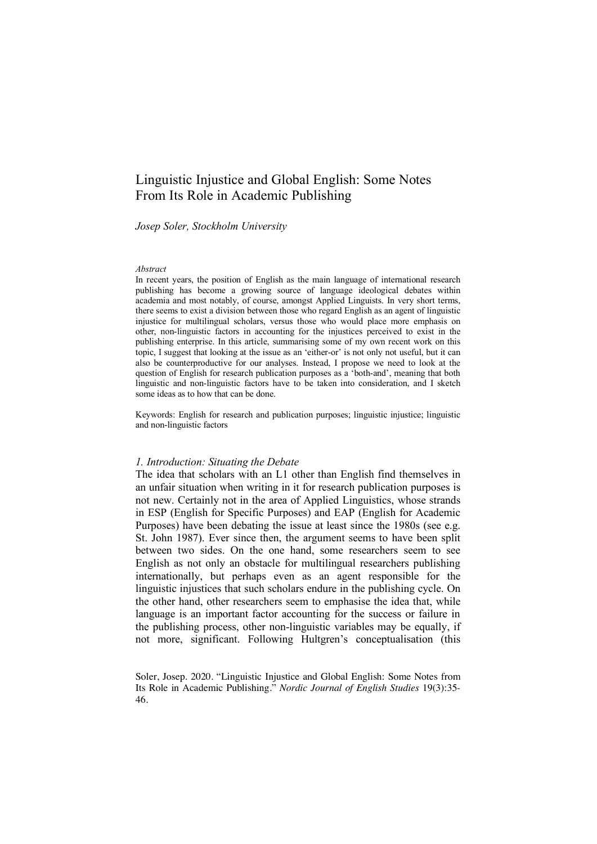# Linguistic Injustice and Global English: Some Notes From Its Role in Academic Publishing

#### *Josep Soler, Stockholm University*

#### *Abstract*

In recent years, the position of English as the main language of international research publishing has become a growing source of language ideological debates within academia and most notably, of course, amongst Applied Linguists. In very short terms, there seems to exist a division between those who regard English as an agent of linguistic injustice for multilingual scholars, versus those who would place more emphasis on other, non-linguistic factors in accounting for the injustices perceived to exist in the publishing enterprise. In this article, summarising some of my own recent work on this topic, I suggest that looking at the issue as an 'either-or' is not only not useful, but it can also be counterproductive for our analyses. Instead, I propose we need to look at the question of English for research publication purposes as a 'both-and', meaning that both linguistic and non-linguistic factors have to be taken into consideration, and I sketch some ideas as to how that can be done.

Keywords: English for research and publication purposes; linguistic injustice; linguistic and non-linguistic factors

#### *1. Introduction: Situating the Debate*

The idea that scholars with an L1 other than English find themselves in an unfair situation when writing in it for research publication purposes is not new. Certainly not in the area of Applied Linguistics, whose strands in ESP (English for Specific Purposes) and EAP (English for Academic Purposes) have been debating the issue at least since the 1980s (see e.g. St. John 1987). Ever since then, the argument seems to have been split between two sides. On the one hand, some researchers seem to see English as not only an obstacle for multilingual researchers publishing internationally, but perhaps even as an agent responsible for the linguistic injustices that such scholars endure in the publishing cycle. On the other hand, other researchers seem to emphasise the idea that, while language is an important factor accounting for the success or failure in the publishing process, other non-linguistic variables may be equally, if not more, significant. Following Hultgren's conceptualisation (this

Soler, Josep. 2020. "Linguistic Injustice and Global English: Some Notes from Its Role in Academic Publishing." *Nordic Journal of English Studies* 19(3):35- 46.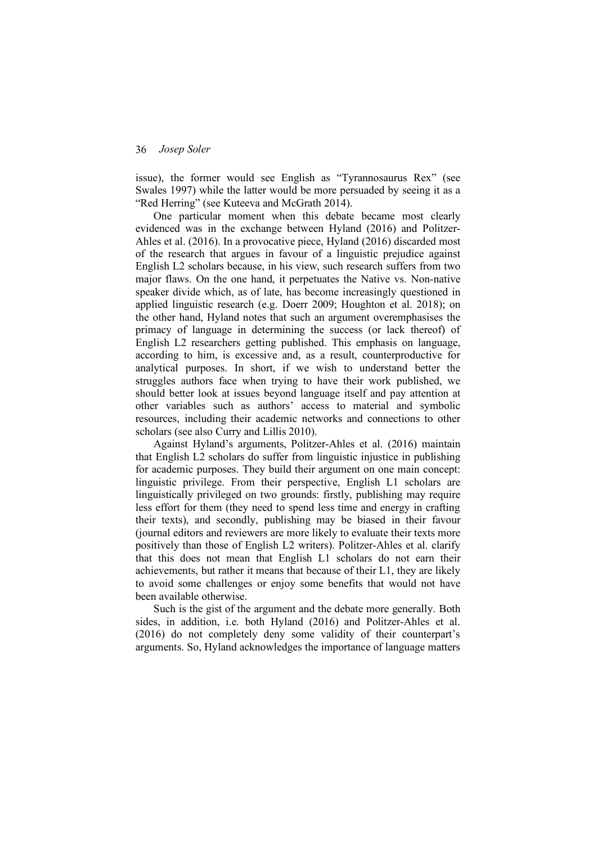issue), the former would see English as "Tyrannosaurus Rex" (see Swales 1997) while the latter would be more persuaded by seeing it as a "Red Herring" (see Kuteeva and McGrath 2014).

One particular moment when this debate became most clearly evidenced was in the exchange between Hyland (2016) and Politzer-Ahles et al. (2016). In a provocative piece, Hyland (2016) discarded most of the research that argues in favour of a linguistic prejudice against English L2 scholars because, in his view, such research suffers from two major flaws. On the one hand, it perpetuates the Native vs. Non-native speaker divide which, as of late, has become increasingly questioned in applied linguistic research (e.g. Doerr 2009; Houghton et al. 2018); on the other hand, Hyland notes that such an argument overemphasises the primacy of language in determining the success (or lack thereof) of English L2 researchers getting published. This emphasis on language, according to him, is excessive and, as a result, counterproductive for analytical purposes. In short, if we wish to understand better the struggles authors face when trying to have their work published, we should better look at issues beyond language itself and pay attention at other variables such as authors' access to material and symbolic resources, including their academic networks and connections to other scholars (see also Curry and Lillis 2010).

Against Hyland's arguments, Politzer-Ahles et al. (2016) maintain that English L2 scholars do suffer from linguistic injustice in publishing for academic purposes. They build their argument on one main concept: linguistic privilege. From their perspective, English L1 scholars are linguistically privileged on two grounds: firstly, publishing may require less effort for them (they need to spend less time and energy in crafting their texts), and secondly, publishing may be biased in their favour (journal editors and reviewers are more likely to evaluate their texts more positively than those of English L2 writers). Politzer-Ahles et al. clarify that this does not mean that English L1 scholars do not earn their achievements, but rather it means that because of their L1, they are likely to avoid some challenges or enjoy some benefits that would not have been available otherwise.

Such is the gist of the argument and the debate more generally. Both sides, in addition, i.e. both Hyland (2016) and Politzer-Ahles et al. (2016) do not completely deny some validity of their counterpart's arguments. So, Hyland acknowledges the importance of language matters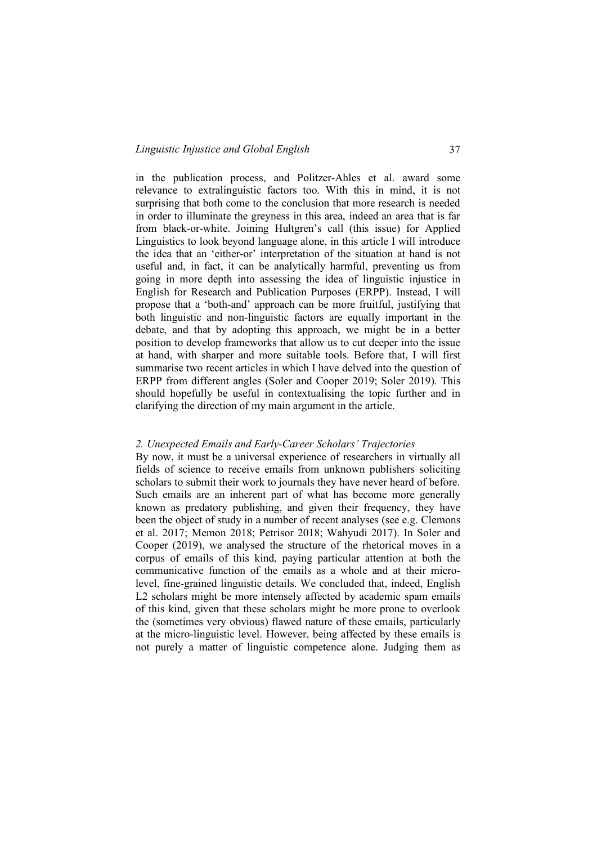in the publication process, and Politzer-Ahles et al. award some relevance to extralinguistic factors too. With this in mind, it is not surprising that both come to the conclusion that more research is needed in order to illuminate the greyness in this area, indeed an area that is far from black-or-white. Joining Hultgren's call (this issue) for Applied Linguistics to look beyond language alone, in this article I will introduce the idea that an 'either-or' interpretation of the situation at hand is not useful and, in fact, it can be analytically harmful, preventing us from going in more depth into assessing the idea of linguistic injustice in English for Research and Publication Purposes (ERPP). Instead, I will propose that a 'both-and' approach can be more fruitful, justifying that both linguistic and non-linguistic factors are equally important in the debate, and that by adopting this approach, we might be in a better position to develop frameworks that allow us to cut deeper into the issue at hand, with sharper and more suitable tools. Before that, I will first summarise two recent articles in which I have delved into the question of ERPP from different angles (Soler and Cooper 2019; Soler 2019). This should hopefully be useful in contextualising the topic further and in clarifying the direction of my main argument in the article.

### *2. Unexpected Emails and Early-Career Scholars' Trajectories*

By now, it must be a universal experience of researchers in virtually all fields of science to receive emails from unknown publishers soliciting scholars to submit their work to journals they have never heard of before. Such emails are an inherent part of what has become more generally known as predatory publishing, and given their frequency, they have been the object of study in a number of recent analyses (see e.g. Clemons et al. 2017; Memon 2018; Petrisor 2018; Wahyudi 2017). In Soler and Cooper (2019), we analysed the structure of the rhetorical moves in a corpus of emails of this kind, paying particular attention at both the communicative function of the emails as a whole and at their microlevel, fine-grained linguistic details. We concluded that, indeed, English L<sub>2</sub> scholars might be more intensely affected by academic spam emails of this kind, given that these scholars might be more prone to overlook the (sometimes very obvious) flawed nature of these emails, particularly at the micro-linguistic level. However, being affected by these emails is not purely a matter of linguistic competence alone. Judging them as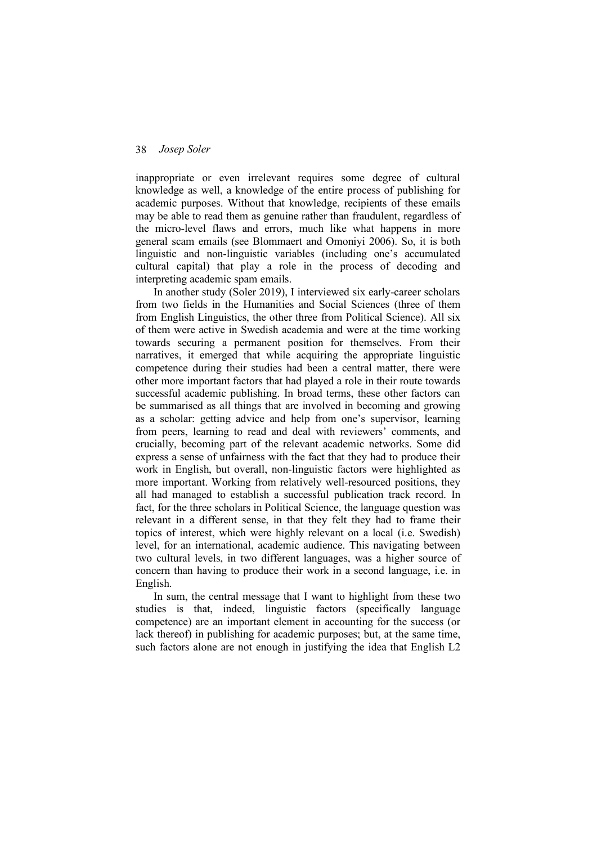inappropriate or even irrelevant requires some degree of cultural knowledge as well, a knowledge of the entire process of publishing for academic purposes. Without that knowledge, recipients of these emails may be able to read them as genuine rather than fraudulent, regardless of the micro-level flaws and errors, much like what happens in more general scam emails (see Blommaert and Omoniyi 2006). So, it is both linguistic and non-linguistic variables (including one's accumulated cultural capital) that play a role in the process of decoding and interpreting academic spam emails.

In another study (Soler 2019), I interviewed six early-career scholars from two fields in the Humanities and Social Sciences (three of them from English Linguistics, the other three from Political Science). All six of them were active in Swedish academia and were at the time working towards securing a permanent position for themselves. From their narratives, it emerged that while acquiring the appropriate linguistic competence during their studies had been a central matter, there were other more important factors that had played a role in their route towards successful academic publishing. In broad terms, these other factors can be summarised as all things that are involved in becoming and growing as a scholar: getting advice and help from one's supervisor, learning from peers, learning to read and deal with reviewers' comments, and crucially, becoming part of the relevant academic networks. Some did express a sense of unfairness with the fact that they had to produce their work in English, but overall, non-linguistic factors were highlighted as more important. Working from relatively well-resourced positions, they all had managed to establish a successful publication track record. In fact, for the three scholars in Political Science, the language question was relevant in a different sense, in that they felt they had to frame their topics of interest, which were highly relevant on a local (i.e. Swedish) level, for an international, academic audience. This navigating between two cultural levels, in two different languages, was a higher source of concern than having to produce their work in a second language, i.e. in English.

In sum, the central message that I want to highlight from these two studies is that, indeed, linguistic factors (specifically language competence) are an important element in accounting for the success (or lack thereof) in publishing for academic purposes; but, at the same time, such factors alone are not enough in justifying the idea that English L2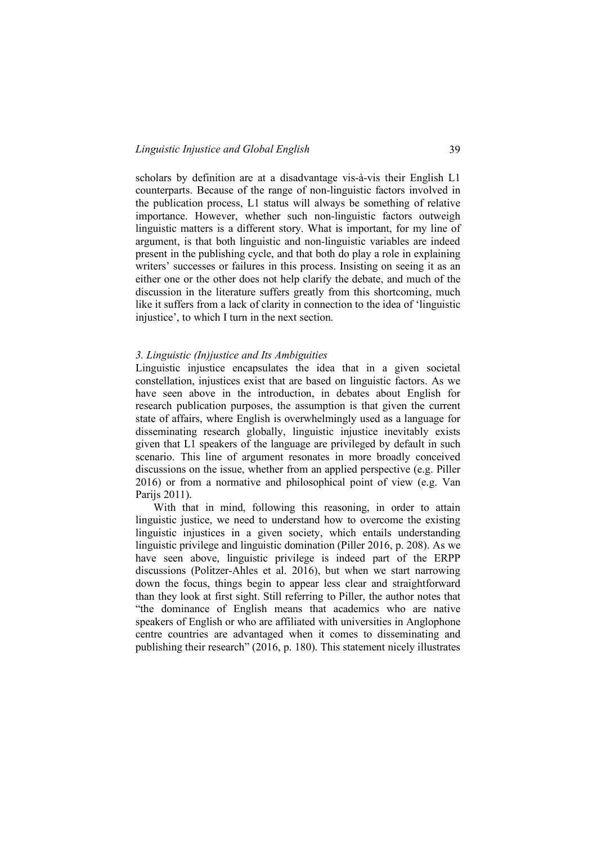scholars by definition are at a disadvantage vis-à-vis their English L1 counterparts. Because of the range of non-linguistic factors involved in the publication process, L1 status will always be something of relative importance. However, whether such non-linguistic factors outweigh linguistic matters is a different story. What is important, for my line of argument, is that both linguistic and non-linguistic variables are indeed present in the publishing cycle, and that both do play a role in explaining writers' successes or failures in this process. Insisting on seeing it as an either one or the other does not help clarify the debate, and much of the discussion in the literature suffers greatly from this shortcoming, much like it suffers from a lack of clarity in connection to the idea of 'linguistic injustice', to which I turn in the next section.

### *3. Linguistic (In)justice and Its Ambiguities*

Linguistic injustice encapsulates the idea that in a given societal constellation, injustices exist that are based on linguistic factors. As we have seen above in the introduction, in debates about English for research publication purposes, the assumption is that given the current state of affairs, where English is overwhelmingly used as a language for disseminating research globally, linguistic injustice inevitably exists given that L1 speakers of the language are privileged by default in such scenario. This line of argument resonates in more broadly conceived discussions on the issue, whether from an applied perspective (e.g. Piller 2016) or from a normative and philosophical point of view (e.g. Van Parijs 2011).

With that in mind, following this reasoning, in order to attain linguistic justice, we need to understand how to overcome the existing linguistic injustices in a given society, which entails understanding linguistic privilege and linguistic domination (Piller 2016, p. 208). As we have seen above, linguistic privilege is indeed part of the ERPP discussions (Politzer-Ahles et al. 2016), but when we start narrowing down the focus, things begin to appear less clear and straightforward than they look at first sight. Still referring to Piller, the author notes that "the dominance of English means that academics who are native speakers of English or who are affiliated with universities in Anglophone centre countries are advantaged when it comes to disseminating and publishing their research" (2016, p. 180). This statement nicely illustrates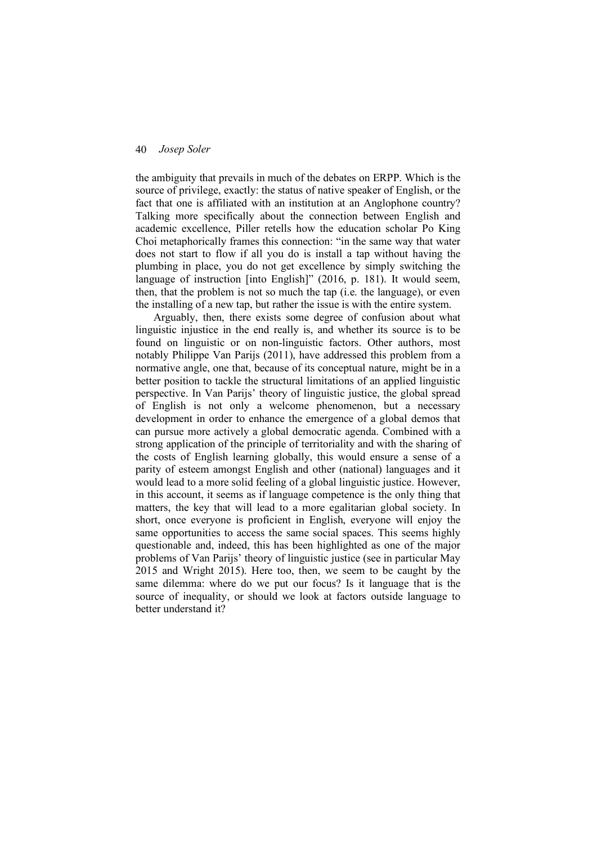the ambiguity that prevails in much of the debates on ERPP. Which is the source of privilege, exactly: the status of native speaker of English, or the fact that one is affiliated with an institution at an Anglophone country? Talking more specifically about the connection between English and academic excellence, Piller retells how the education scholar Po King Choi metaphorically frames this connection: "in the same way that water does not start to flow if all you do is install a tap without having the plumbing in place, you do not get excellence by simply switching the language of instruction [into English]" (2016, p. 181). It would seem, then, that the problem is not so much the tap (i.e. the language), or even the installing of a new tap, but rather the issue is with the entire system.

Arguably, then, there exists some degree of confusion about what linguistic injustice in the end really is, and whether its source is to be found on linguistic or on non-linguistic factors. Other authors, most notably Philippe Van Parijs (2011), have addressed this problem from a normative angle, one that, because of its conceptual nature, might be in a better position to tackle the structural limitations of an applied linguistic perspective. In Van Parijs' theory of linguistic justice, the global spread of English is not only a welcome phenomenon, but a necessary development in order to enhance the emergence of a global demos that can pursue more actively a global democratic agenda. Combined with a strong application of the principle of territoriality and with the sharing of the costs of English learning globally, this would ensure a sense of a parity of esteem amongst English and other (national) languages and it would lead to a more solid feeling of a global linguistic justice. However, in this account, it seems as if language competence is the only thing that matters, the key that will lead to a more egalitarian global society. In short, once everyone is proficient in English, everyone will enjoy the same opportunities to access the same social spaces. This seems highly questionable and, indeed, this has been highlighted as one of the major problems of Van Parijs' theory of linguistic justice (see in particular May 2015 and Wright 2015). Here too, then, we seem to be caught by the same dilemma: where do we put our focus? Is it language that is the source of inequality, or should we look at factors outside language to better understand it?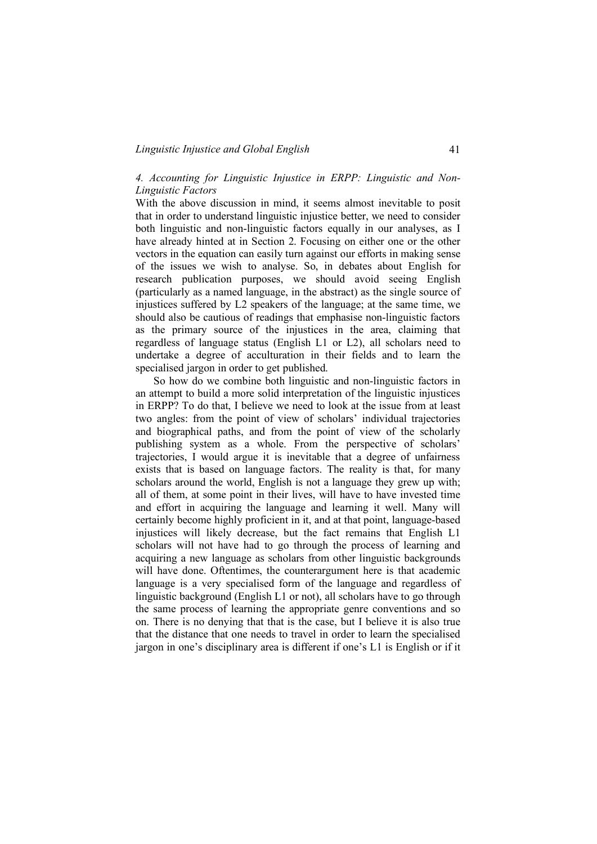### *Linguistic Injustice and Global English* 41

# *4. Accounting for Linguistic Injustice in ERPP: Linguistic and Non-Linguistic Factors*

With the above discussion in mind, it seems almost inevitable to posit that in order to understand linguistic injustice better, we need to consider both linguistic and non-linguistic factors equally in our analyses, as I have already hinted at in Section 2. Focusing on either one or the other vectors in the equation can easily turn against our efforts in making sense of the issues we wish to analyse. So, in debates about English for research publication purposes, we should avoid seeing English (particularly as a named language, in the abstract) as the single source of injustices suffered by L2 speakers of the language; at the same time, we should also be cautious of readings that emphasise non-linguistic factors as the primary source of the injustices in the area, claiming that regardless of language status (English L1 or L2), all scholars need to undertake a degree of acculturation in their fields and to learn the specialised jargon in order to get published.

So how do we combine both linguistic and non-linguistic factors in an attempt to build a more solid interpretation of the linguistic injustices in ERPP? To do that, I believe we need to look at the issue from at least two angles: from the point of view of scholars' individual trajectories and biographical paths, and from the point of view of the scholarly publishing system as a whole. From the perspective of scholars' trajectories, I would argue it is inevitable that a degree of unfairness exists that is based on language factors. The reality is that, for many scholars around the world, English is not a language they grew up with; all of them, at some point in their lives, will have to have invested time and effort in acquiring the language and learning it well. Many will certainly become highly proficient in it, and at that point, language-based injustices will likely decrease, but the fact remains that English L1 scholars will not have had to go through the process of learning and acquiring a new language as scholars from other linguistic backgrounds will have done. Oftentimes, the counterargument here is that academic language is a very specialised form of the language and regardless of linguistic background (English L1 or not), all scholars have to go through the same process of learning the appropriate genre conventions and so on. There is no denying that that is the case, but I believe it is also true that the distance that one needs to travel in order to learn the specialised jargon in one's disciplinary area is different if one's L1 is English or if it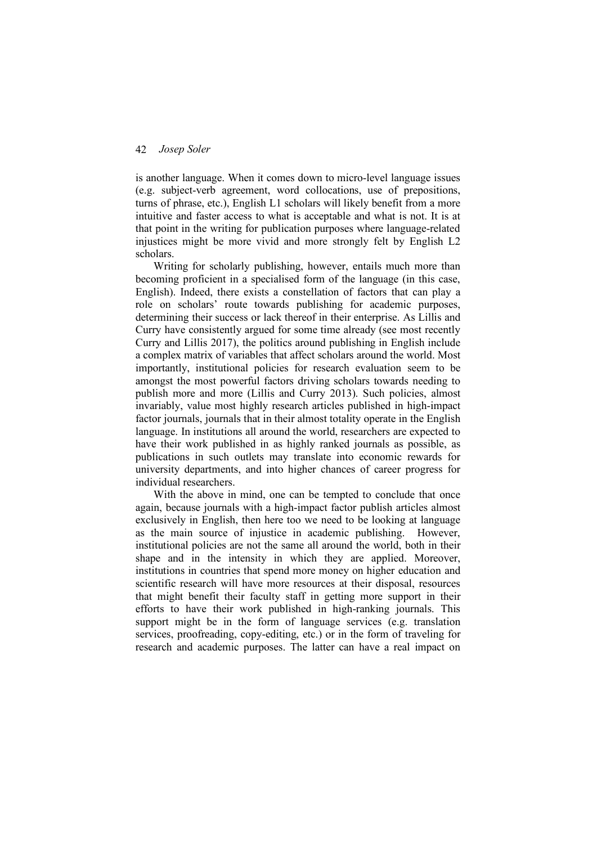is another language. When it comes down to micro-level language issues (e.g. subject-verb agreement, word collocations, use of prepositions, turns of phrase, etc.), English L1 scholars will likely benefit from a more intuitive and faster access to what is acceptable and what is not. It is at that point in the writing for publication purposes where language-related injustices might be more vivid and more strongly felt by English L2 scholars.

Writing for scholarly publishing, however, entails much more than becoming proficient in a specialised form of the language (in this case, English). Indeed, there exists a constellation of factors that can play a role on scholars' route towards publishing for academic purposes, determining their success or lack thereof in their enterprise. As Lillis and Curry have consistently argued for some time already (see most recently Curry and Lillis 2017), the politics around publishing in English include a complex matrix of variables that affect scholars around the world. Most importantly, institutional policies for research evaluation seem to be amongst the most powerful factors driving scholars towards needing to publish more and more (Lillis and Curry 2013). Such policies, almost invariably, value most highly research articles published in high-impact factor journals, journals that in their almost totality operate in the English language. In institutions all around the world, researchers are expected to have their work published in as highly ranked journals as possible, as publications in such outlets may translate into economic rewards for university departments, and into higher chances of career progress for individual researchers.

With the above in mind, one can be tempted to conclude that once again, because journals with a high-impact factor publish articles almost exclusively in English, then here too we need to be looking at language as the main source of injustice in academic publishing. However, institutional policies are not the same all around the world, both in their shape and in the intensity in which they are applied. Moreover, institutions in countries that spend more money on higher education and scientific research will have more resources at their disposal, resources that might benefit their faculty staff in getting more support in their efforts to have their work published in high-ranking journals. This support might be in the form of language services (e.g. translation services, proofreading, copy-editing, etc.) or in the form of traveling for research and academic purposes. The latter can have a real impact on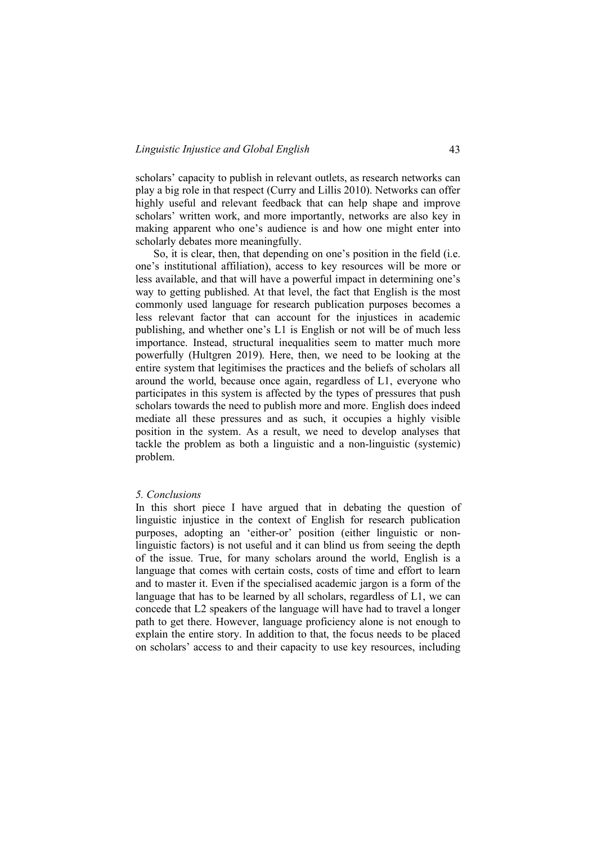scholars' capacity to publish in relevant outlets, as research networks can play a big role in that respect (Curry and Lillis 2010). Networks can offer highly useful and relevant feedback that can help shape and improve scholars' written work, and more importantly, networks are also key in making apparent who one's audience is and how one might enter into scholarly debates more meaningfully.

So, it is clear, then, that depending on one's position in the field (i.e. one's institutional affiliation), access to key resources will be more or less available, and that will have a powerful impact in determining one's way to getting published. At that level, the fact that English is the most commonly used language for research publication purposes becomes a less relevant factor that can account for the injustices in academic publishing, and whether one's L1 is English or not will be of much less importance. Instead, structural inequalities seem to matter much more powerfully (Hultgren 2019). Here, then, we need to be looking at the entire system that legitimises the practices and the beliefs of scholars all around the world, because once again, regardless of L1, everyone who participates in this system is affected by the types of pressures that push scholars towards the need to publish more and more. English does indeed mediate all these pressures and as such, it occupies a highly visible position in the system. As a result, we need to develop analyses that tackle the problem as both a linguistic and a non-linguistic (systemic) problem.

#### *5. Conclusions*

In this short piece I have argued that in debating the question of linguistic injustice in the context of English for research publication purposes, adopting an 'either-or' position (either linguistic or nonlinguistic factors) is not useful and it can blind us from seeing the depth of the issue. True, for many scholars around the world, English is a language that comes with certain costs, costs of time and effort to learn and to master it. Even if the specialised academic jargon is a form of the language that has to be learned by all scholars, regardless of L1, we can concede that L2 speakers of the language will have had to travel a longer path to get there. However, language proficiency alone is not enough to explain the entire story. In addition to that, the focus needs to be placed on scholars' access to and their capacity to use key resources, including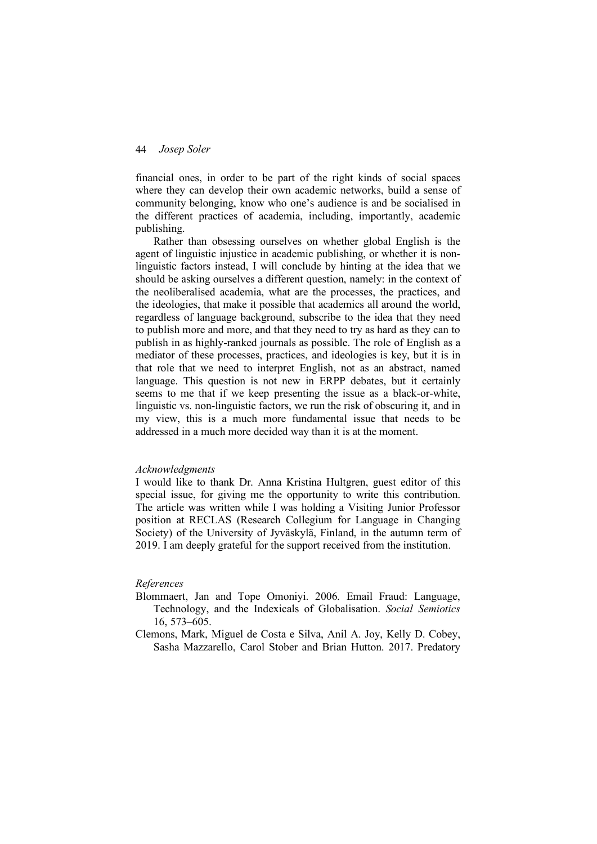financial ones, in order to be part of the right kinds of social spaces where they can develop their own academic networks, build a sense of community belonging, know who one's audience is and be socialised in the different practices of academia, including, importantly, academic publishing.

Rather than obsessing ourselves on whether global English is the agent of linguistic injustice in academic publishing, or whether it is nonlinguistic factors instead, I will conclude by hinting at the idea that we should be asking ourselves a different question, namely: in the context of the neoliberalised academia, what are the processes, the practices, and the ideologies, that make it possible that academics all around the world, regardless of language background, subscribe to the idea that they need to publish more and more, and that they need to try as hard as they can to publish in as highly-ranked journals as possible. The role of English as a mediator of these processes, practices, and ideologies is key, but it is in that role that we need to interpret English, not as an abstract, named language. This question is not new in ERPP debates, but it certainly seems to me that if we keep presenting the issue as a black-or-white, linguistic vs. non-linguistic factors, we run the risk of obscuring it, and in my view, this is a much more fundamental issue that needs to be addressed in a much more decided way than it is at the moment.

#### *Acknowledgments*

I would like to thank Dr. Anna Kristina Hultgren, guest editor of this special issue, for giving me the opportunity to write this contribution. The article was written while I was holding a Visiting Junior Professor position at RECLAS (Research Collegium for Language in Changing Society) of the University of Jyväskylä, Finland, in the autumn term of 2019. I am deeply grateful for the support received from the institution.

#### *References*

- Blommaert, Jan and Tope Omoniyi. 2006. Email Fraud: Language, Technology, and the Indexicals of Globalisation. *Social Semiotics* 16, 573–605.
- Clemons, Mark, Miguel de Costa e Silva, Anil A. Joy, Kelly D. Cobey, Sasha Mazzarello, Carol Stober and Brian Hutton. 2017. Predatory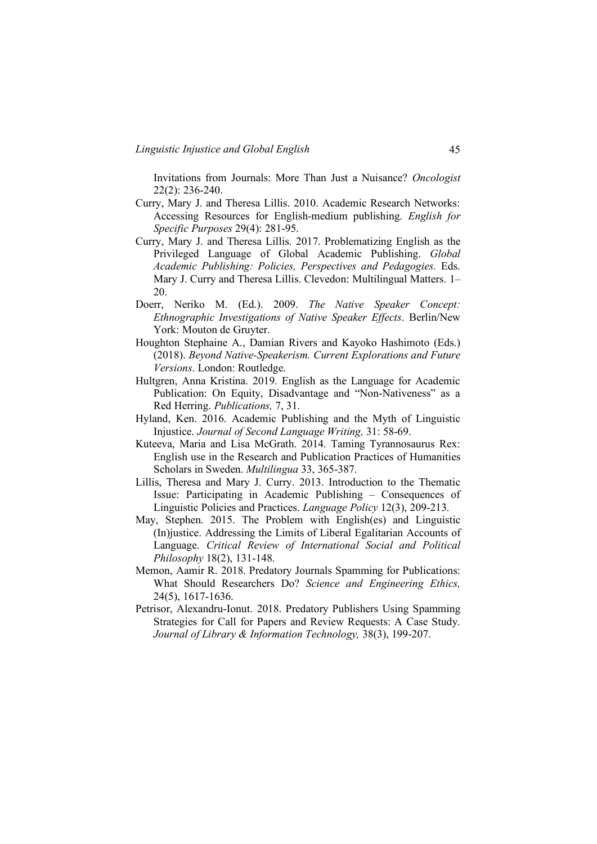Invitations from Journals: More Than Just a Nuisance? *Oncologist* 22(2): 236-240.

- Curry, Mary J. and Theresa Lillis. 2010. Academic Research Networks: Accessing Resources for English-medium publishing. *English for Specific Purposes* 29(4): 281-95.
- Curry, Mary J. and Theresa Lillis. 2017. Problematizing English as the Privileged Language of Global Academic Publishing. *Global Academic Publishing: Policies, Perspectives and Pedagogies.* Eds. Mary J. Curry and Theresa Lillis. Clevedon: Multilingual Matters. 1– 20.
- Doerr, Neriko M. (Ed.). 2009. *The Native Speaker Concept: Ethnographic Investigations of Native Speaker Effects*. Berlin/New York: Mouton de Gruyter.
- Houghton Stephaine A., Damian Rivers and Kayoko Hashimoto (Eds.) (2018). *Beyond Native-Speakerism. Current Explorations and Future Versions*. London: Routledge.
- Hultgren, Anna Kristina. 2019. English as the Language for Academic Publication: On Equity, Disadvantage and "Non-Nativeness" as a Red Herring. *Publications,* 7, 31.
- Hyland, Ken. 2016. Academic Publishing and the Myth of Linguistic Injustice. *Journal of Second Language Writing,* 31: 58-69.
- Kuteeva, Maria and Lisa McGrath. 2014. Taming Tyrannosaurus Rex: English use in the Research and Publication Practices of Humanities Scholars in Sweden. *Multilingua* 33, 365-387.
- Lillis, Theresa and Mary J. Curry. 2013. Introduction to the Thematic Issue: Participating in Academic Publishing – Consequences of Linguistic Policies and Practices. *Language Policy* 12(3), 209-213.
- May, Stephen. 2015. The Problem with English(es) and Linguistic (In)justice. Addressing the Limits of Liberal Egalitarian Accounts of Language. *Critical Review of International Social and Political Philosophy* 18(2), 131-148.
- Memon, Aamir R. 2018. Predatory Journals Spamming for Publications: What Should Researchers Do? *Science and Engineering Ethics,* 24(5), 1617-1636.
- Petrisor, Alexandru-Ionut. 2018. Predatory Publishers Using Spamming Strategies for Call for Papers and Review Requests: A Case Study. *Journal of Library & Information Technology,* 38(3), 199-207.